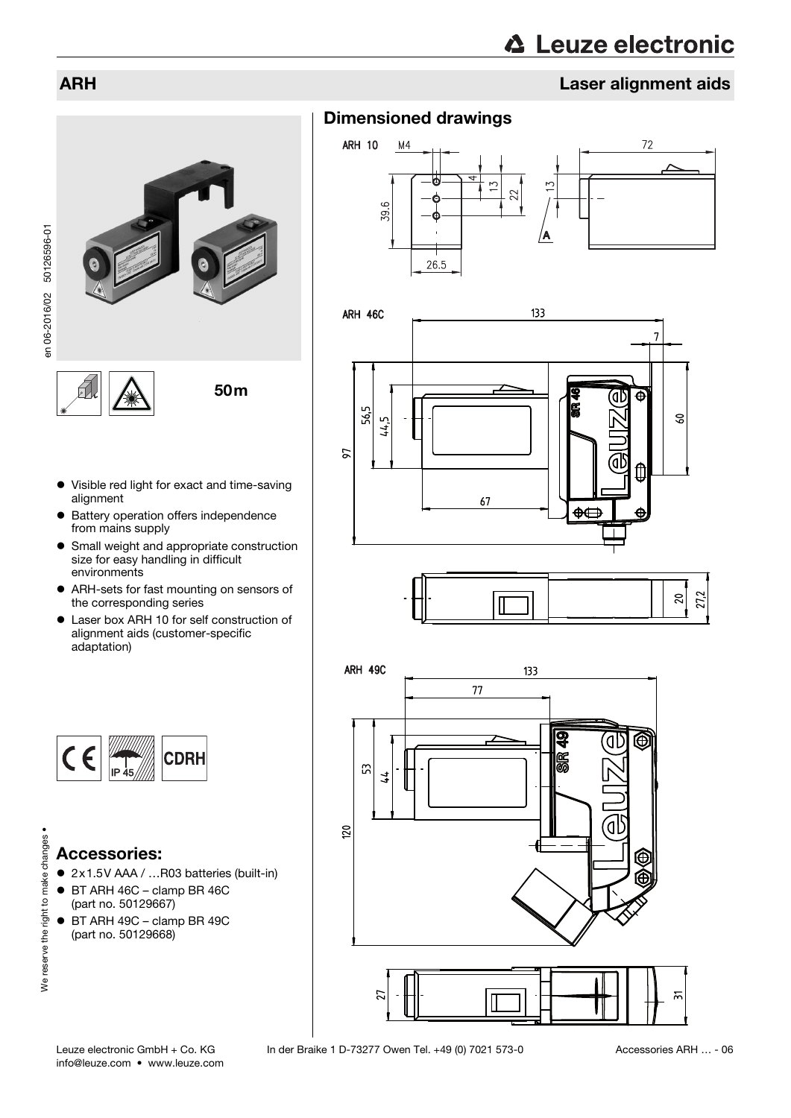# **△ Leuze electronic**

# ARH Laser alignment aids



en 06-2016/02 50126596-01 en 06-2016/02 50126596-01

- Visible red light for exact and time-saving alignment
- **•** Battery operation offers independence from mains supply
- Small weight and appropriate construction size for easy handling in difficult environments
- ARH-sets for fast mounting on sensors of the corresponding series
- Laser box ARH 10 for self construction of alignment aids (customer-specific adaptation)



# Accessories:

We reserve the right to make changes •

We reserve the right to make changes .

- 2x1.5V AAA / …R03 batteries (built-in)
- BT ARH 46C clamp BR 46C (part no. 50129667)
- BT ARH 49C clamp BR 49C (part no. 50129668)











info@leuze.com • www.leuze.com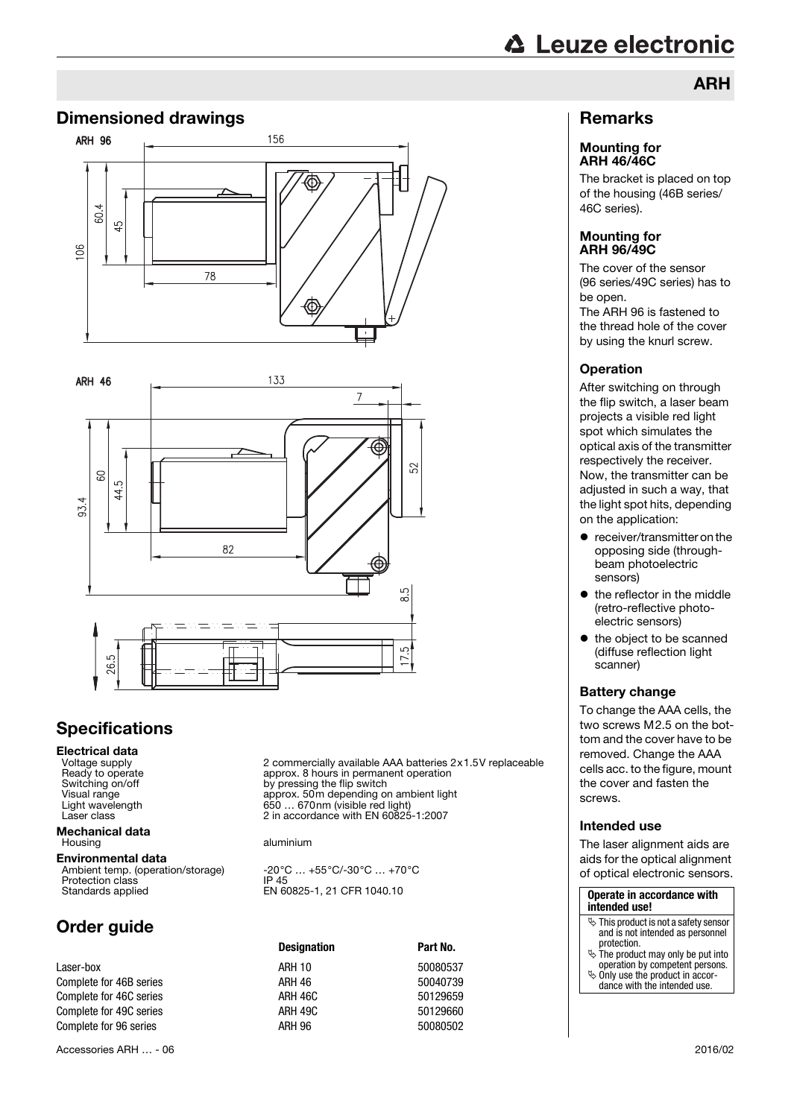## Dimensioned drawings





# **Specifications**

**Electrical data**<br>Voltage supply<br>Ready to operate

**Mechanical data**<br>Housing

Environmental data Ambient temp. (operation/storage) -20°C … +55°C/-30°C … +70°C<br>Protection class IP 45 Standards applied EN 60825-1, 21 CFR 1040.10

# Order guide

Accessories ARH … - 06 2016/02

2 commercially available AAA batteries 2x1.5V replaceable Ready to operate approx. 8 hours in permanent operation<br>Switching on/off state approx. By pressing the flip switch Switching on/off by pressing the flip switch<br>Visual range by pressing the flip switch<br>approx. 50m depending or Visual range approx. 50m depending on ambient light Light wavelength 650 … 670nm (visible red light) Laser class  $\sim$  2 in accordance with EN 60825-1:2007

aluminium

|                         | <b>Designation</b> | Part No. |  |
|-------------------------|--------------------|----------|--|
| Laser-box               | <b>ARH 10</b>      | 50080537 |  |
| Complete for 46B series | ARH 46             | 50040739 |  |
| Complete for 46C series | ARH 46C            | 50129659 |  |
| Complete for 49C series | ARH 49C            | 50129660 |  |
| Complete for 96 series  | ARH 96             | 50080502 |  |
|                         |                    |          |  |

## Remarks

#### Mounting for ARH 46/46C

The bracket is placed on top of the housing (46B series/ 46C series).

ARH

#### Mounting for ARH 96/49C

The cover of the sensor (96 series/49C series) has to be open.

The ARH 96 is fastened to the thread hole of the cover by using the knurl screw.

### **Operation**

After switching on through the flip switch, a laser beam projects a visible red light spot which simulates the optical axis of the transmitter respectively the receiver. Now, the transmitter can be adjusted in such a way, that the light spot hits, depending on the application:

- receiver/transmitter on the opposing side (throughbeam photoelectric sensors)
- $\bullet$  the reflector in the middle (retro-reflective photoelectric sensors)
- $\bullet$  the object to be scanned (diffuse reflection light scanner)

### Battery change

To change the AAA cells, the two screws M2.5 on the bottom and the cover have to be removed. Change the AAA cells acc. to the figure, mount the cover and fasten the screws.

### Intended use

The laser alignment aids are aids for the optical alignment of optical electronic sensors.

| Operate in accordance with<br>intended use!                                                        |  |  |
|----------------------------------------------------------------------------------------------------|--|--|
| $\mathbb G$ This product is not a safety sensor<br>and is not intended as personnel<br>protection. |  |  |
| $\ddot{\mathcal{L}}$ The product may only be put into<br>operation by competent persons.           |  |  |
| $\ddot{\phi}$ Only use the product in accor-<br>dance with the intended use.                       |  |  |
|                                                                                                    |  |  |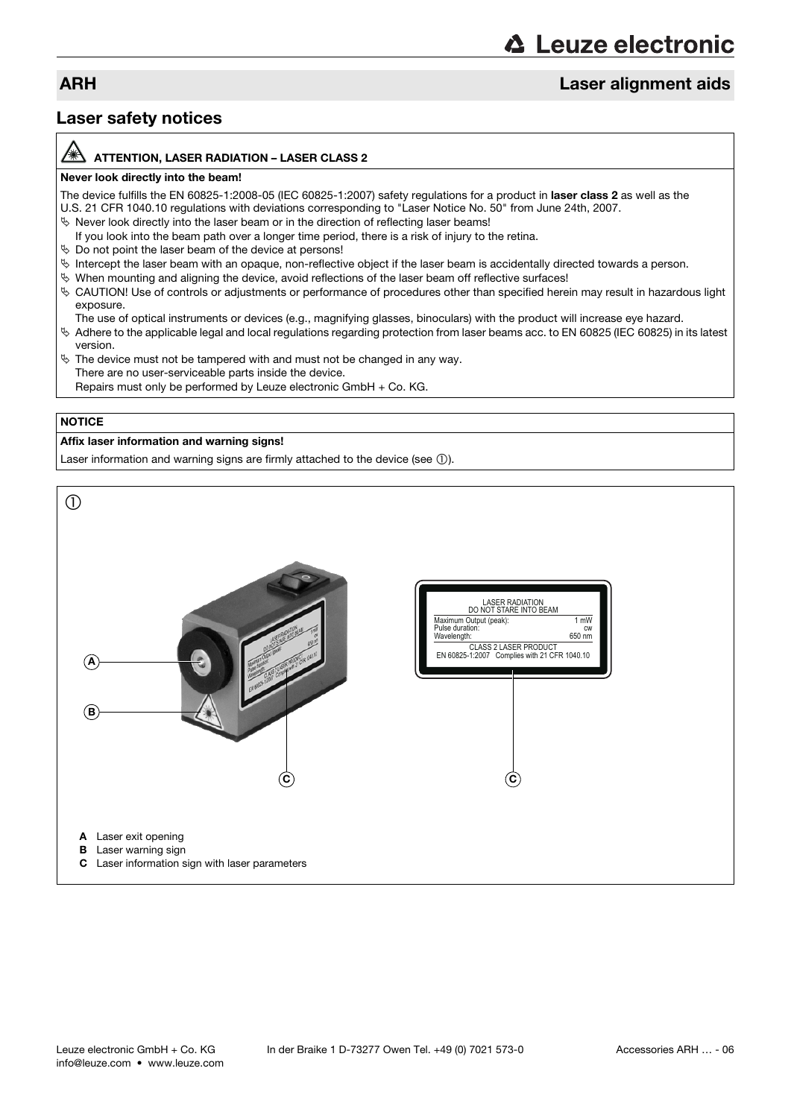# **△ Leuze electronic**

# ARH Laser alignment aids

## Laser safety notices

#### ATTENTION, LASER RADIATION – LASER CLASS 2

#### Never look directly into the beam!

The device fulfills the EN 60825-1:2008-05 (IEC 60825-1:2007) safety regulations for a product in laser class 2 as well as the U.S. 21 CFR 1040.10 regulations with deviations corresponding to "Laser Notice No. 50" from June 24th, 2007.

- $\%$  Never look directly into the laser beam or in the direction of reflecting laser beams!
- If you look into the beam path over a longer time period, there is a risk of injury to the retina.
- $\%$  Do not point the laser beam of the device at persons!
- $\%$  Intercept the laser beam with an opaque, non-reflective object if the laser beam is accidentally directed towards a person.
- $\%$  When mounting and aligning the device, avoid reflections of the laser beam off reflective surfaces!
- CAUTION! Use of controls or adjustments or performance of procedures other than specified herein may result in hazardous light exposure.
	- The use of optical instruments or devices (e.g., magnifying glasses, binoculars) with the product will increase eye hazard.
- Adhere to the applicable legal and local regulations regarding protection from laser beams acc. to EN 60825 (IEC 60825) in its latest version.
- $\%$  The device must not be tampered with and must not be changed in any way. There are no user-serviceable parts inside the device. Repairs must only be performed by Leuze electronic GmbH + Co. KG.

### **NOTICE**

### Affix laser information and warning signs!

Laser information and warning signs are firmly attached to the device (see  $(1)$ ).